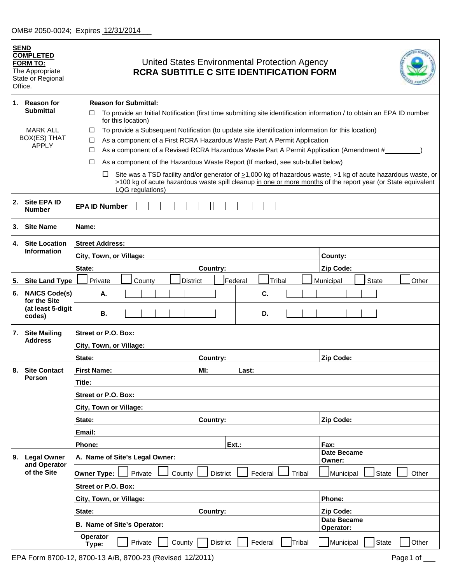|          | <b>SEND</b><br><b>COMPLETED</b><br><b>FORM TO:</b><br>The Appropriate<br>State or Regional<br>Office. | United States Environmental Protection Agency<br><b>RCRA SUBTITLE C SITE IDENTIFICATION FORM</b>                                                                                                                                                                                                                                                    |          |                   |                                                                                                                        |  |  |  |  |  |  |
|----------|-------------------------------------------------------------------------------------------------------|-----------------------------------------------------------------------------------------------------------------------------------------------------------------------------------------------------------------------------------------------------------------------------------------------------------------------------------------------------|----------|-------------------|------------------------------------------------------------------------------------------------------------------------|--|--|--|--|--|--|
|          | 1. Reason for<br><b>Submittal</b><br><b>MARK ALL</b><br><b>BOX(ES) THAT</b><br><b>APPLY</b>           | <b>Reason for Submittal:</b><br>□<br>for this location)<br>To provide a Subsequent Notification (to update site identification information for this location)<br>□<br>As a component of a First RCRA Hazardous Waste Part A Permit Application<br>□<br>As a component of a Revised RCRA Hazardous Waste Part A Permit Application (Amendment #<br>□ |          |                   | To provide an Initial Notification (first time submitting site identification information / to obtain an EPA ID number |  |  |  |  |  |  |
|          |                                                                                                       | As a component of the Hazardous Waste Report (If marked, see sub-bullet below)<br>□<br>Site was a TSD facility and/or generator of $\geq$ 1,000 kg of hazardous waste, >1 kg of acute hazardous waste, or<br>⊔<br>>100 kg of acute hazardous waste spill cleanup in one or more months of the report year (or State equivalent<br>LQG regulations)  |          |                   |                                                                                                                        |  |  |  |  |  |  |
| 2.       | Site EPA ID<br><b>Number</b>                                                                          | <b>EPA ID Number</b>                                                                                                                                                                                                                                                                                                                                |          |                   |                                                                                                                        |  |  |  |  |  |  |
| 3.       | <b>Site Name</b>                                                                                      | Name:                                                                                                                                                                                                                                                                                                                                               |          |                   |                                                                                                                        |  |  |  |  |  |  |
| 4.       | <b>Site Location</b><br><b>Information</b>                                                            | <b>Street Address:</b><br>City, Town, or Village:                                                                                                                                                                                                                                                                                                   |          |                   | County:                                                                                                                |  |  |  |  |  |  |
|          |                                                                                                       | State:                                                                                                                                                                                                                                                                                                                                              | Country: |                   | <b>Zip Code:</b>                                                                                                       |  |  |  |  |  |  |
| 5.<br>6. | <b>Site Land Type</b><br><b>NAICS Code(s)</b>                                                         | Private<br>County<br><b>District</b>                                                                                                                                                                                                                                                                                                                | Federal  | Tribal<br>C.      | <b>State</b><br>Other<br>Municipal                                                                                     |  |  |  |  |  |  |
|          | for the Site<br>(at least 5-digit<br>codes)                                                           | А.<br>В.                                                                                                                                                                                                                                                                                                                                            |          | D.                |                                                                                                                        |  |  |  |  |  |  |
|          | 7. Site Mailing                                                                                       | Street or P.O. Box:                                                                                                                                                                                                                                                                                                                                 |          |                   |                                                                                                                        |  |  |  |  |  |  |
|          | <b>Address</b>                                                                                        | City, Town, or Village:                                                                                                                                                                                                                                                                                                                             |          |                   |                                                                                                                        |  |  |  |  |  |  |
|          |                                                                                                       | State:                                                                                                                                                                                                                                                                                                                                              | Country: |                   | <b>Zip Code:</b>                                                                                                       |  |  |  |  |  |  |
| 8.       | <b>Site Contact</b>                                                                                   | <b>First Name:</b>                                                                                                                                                                                                                                                                                                                                  | MI:      | Last:             |                                                                                                                        |  |  |  |  |  |  |
|          | Person                                                                                                | Title:                                                                                                                                                                                                                                                                                                                                              |          |                   |                                                                                                                        |  |  |  |  |  |  |
|          |                                                                                                       | Street or P.O. Box:                                                                                                                                                                                                                                                                                                                                 |          |                   |                                                                                                                        |  |  |  |  |  |  |
|          |                                                                                                       | City, Town or Village:                                                                                                                                                                                                                                                                                                                              |          |                   |                                                                                                                        |  |  |  |  |  |  |
|          |                                                                                                       | State:                                                                                                                                                                                                                                                                                                                                              | Country: |                   | Zip Code:                                                                                                              |  |  |  |  |  |  |
|          |                                                                                                       | Email:                                                                                                                                                                                                                                                                                                                                              |          |                   |                                                                                                                        |  |  |  |  |  |  |
|          |                                                                                                       | Phone:                                                                                                                                                                                                                                                                                                                                              | Ext.:    |                   | Fax:<br><b>Date Became</b>                                                                                             |  |  |  |  |  |  |
| 9.       | <b>Legal Owner</b><br>and Operator                                                                    | A. Name of Site's Legal Owner:                                                                                                                                                                                                                                                                                                                      |          |                   | Owner:                                                                                                                 |  |  |  |  |  |  |
|          | of the Site                                                                                           | Private<br>Owner Type:<br>County                                                                                                                                                                                                                                                                                                                    | District | Federal<br>Tribal | Other<br>Municipal<br>State                                                                                            |  |  |  |  |  |  |
|          |                                                                                                       | Street or P.O. Box:                                                                                                                                                                                                                                                                                                                                 |          |                   |                                                                                                                        |  |  |  |  |  |  |
|          |                                                                                                       | City, Town, or Village:                                                                                                                                                                                                                                                                                                                             |          |                   | Phone:                                                                                                                 |  |  |  |  |  |  |
|          |                                                                                                       | State:<br><b>Country:</b><br>Zip Code:                                                                                                                                                                                                                                                                                                              |          |                   |                                                                                                                        |  |  |  |  |  |  |
|          |                                                                                                       | B. Name of Site's Operator:                                                                                                                                                                                                                                                                                                                         |          |                   | Date Became<br>Operator:                                                                                               |  |  |  |  |  |  |
|          |                                                                                                       | Operator<br>Private<br>County<br>Type:                                                                                                                                                                                                                                                                                                              | District | Federal<br>Tribal | Other<br>State<br>Municipal                                                                                            |  |  |  |  |  |  |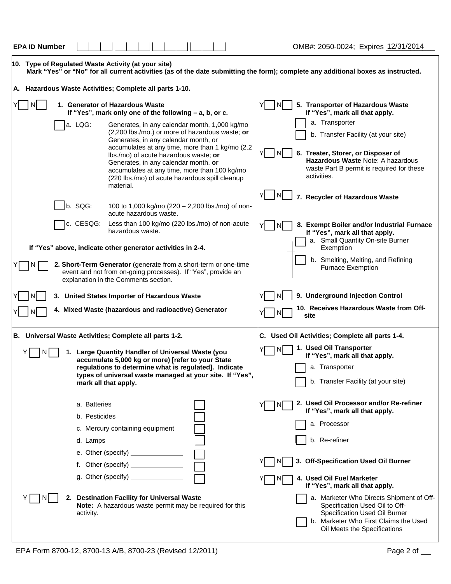| <b>EPA ID Number</b> |  |  |  |  |  |  |  |  | : 2050-0024; Expires 12/31/2014<br>OMB#: |
|----------------------|--|--|--|--|--|--|--|--|------------------------------------------|
|----------------------|--|--|--|--|--|--|--|--|------------------------------------------|

|  |                                           | 10. Type of Regulated Waste Activity (at your site)                                                                                                                                                                                                                                                                                                                                         | Mark "Yes" or "No" for all current activities (as of the date submitting the form); complete any additional boxes as instructed.                                                                                  |  |  |  |
|--|-------------------------------------------|---------------------------------------------------------------------------------------------------------------------------------------------------------------------------------------------------------------------------------------------------------------------------------------------------------------------------------------------------------------------------------------------|-------------------------------------------------------------------------------------------------------------------------------------------------------------------------------------------------------------------|--|--|--|
|  |                                           | A. Hazardous Waste Activities; Complete all parts 1-10.                                                                                                                                                                                                                                                                                                                                     |                                                                                                                                                                                                                   |  |  |  |
|  |                                           | 1. Generator of Hazardous Waste<br>If "Yes", mark only one of the following - a, b, or c.                                                                                                                                                                                                                                                                                                   | 5. Transporter of Hazardous Waste<br>NI<br>If "Yes", mark all that apply.                                                                                                                                         |  |  |  |
|  | a. LQG:                                   | Generates, in any calendar month, 1,000 kg/mo<br>(2,200 lbs./mo.) or more of hazardous waste; or<br>Generates, in any calendar month, or<br>accumulates at any time, more than 1 kg/mo (2.2<br>Ibs./mo) of acute hazardous waste; or<br>Generates, in any calendar month, or<br>accumulates at any time, more than 100 kg/mo<br>(220 lbs./mo) of acute hazardous spill cleanup<br>material. | a. Transporter<br>b. Transfer Facility (at your site)<br>6. Treater, Storer, or Disposer of<br>Hazardous Waste Note: A hazardous<br>waste Part B permit is required for these<br>activities.<br>I NI              |  |  |  |
|  | b. SQG:                                   | 100 to 1,000 kg/mo (220 - 2,200 lbs./mo) of non-<br>acute hazardous waste.                                                                                                                                                                                                                                                                                                                  | 7. Recycler of Hazardous Waste                                                                                                                                                                                    |  |  |  |
|  | c. CESQG:                                 | Less than 100 kg/mo (220 lbs./mo) of non-acute<br>hazardous waste.                                                                                                                                                                                                                                                                                                                          | 8. Exempt Boiler and/or Industrial Furnace<br>l Ni<br>If "Yes", mark all that apply.<br>a. Small Quantity On-site Burner                                                                                          |  |  |  |
|  |                                           | If "Yes" above, indicate other generator activities in 2-4.<br>2. Short-Term Generator (generate from a short-term or one-time<br>event and not from on-going processes). If "Yes", provide an<br>explanation in the Comments section.                                                                                                                                                      | Exemption<br>b. Smelting, Melting, and Refining<br><b>Furnace Exemption</b>                                                                                                                                       |  |  |  |
|  |                                           | 3. United States Importer of Hazardous Waste                                                                                                                                                                                                                                                                                                                                                | 9. Underground Injection Control                                                                                                                                                                                  |  |  |  |
|  |                                           | 4. Mixed Waste (hazardous and radioactive) Generator                                                                                                                                                                                                                                                                                                                                        | 10. Receives Hazardous Waste from Off-<br>site                                                                                                                                                                    |  |  |  |
|  |                                           | B. Universal Waste Activities; Complete all parts 1-2.                                                                                                                                                                                                                                                                                                                                      | C. Used Oil Activities; Complete all parts 1-4.                                                                                                                                                                   |  |  |  |
|  |                                           | 1. Large Quantity Handler of Universal Waste (you<br>accumulate 5,000 kg or more) [refer to your State<br>regulations to determine what is regulated]. Indicate<br>types of universal waste managed at your site. If "Yes",<br>mark all that apply.                                                                                                                                         | 1. Used Oil Transporter<br>If "Yes", mark all that apply.<br>a. Transporter<br>b. Transfer Facility (at your site)                                                                                                |  |  |  |
|  | a. Batteries<br>b. Pesticides<br>d. Lamps | c. Mercury containing equipment<br>e. Other (specify) _______________<br>f. Other (specify) _______________<br>g. Other (specify) <b>contains the contract of the contract of the contract of the contract of the contract of the contract of the contract of the contract of the contract of the contract of the contract of the contract of t</b>                                         | 2. Used Oil Processor and/or Re-refiner<br>If "Yes", mark all that apply.<br>a. Processor<br>b. Re-refiner<br>3. Off-Specification Used Oil Burner<br>4. Used Oil Fuel Marketer<br>If "Yes", mark all that apply. |  |  |  |
|  | activity.                                 | 2. Destination Facility for Universal Waste<br><b>Note:</b> A hazardous waste permit may be required for this                                                                                                                                                                                                                                                                               | a. Marketer Who Directs Shipment of Off-<br>Specification Used Oil to Off-<br>Specification Used Oil Burner<br>b. Marketer Who First Claims the Used<br>Oil Meets the Specifications                              |  |  |  |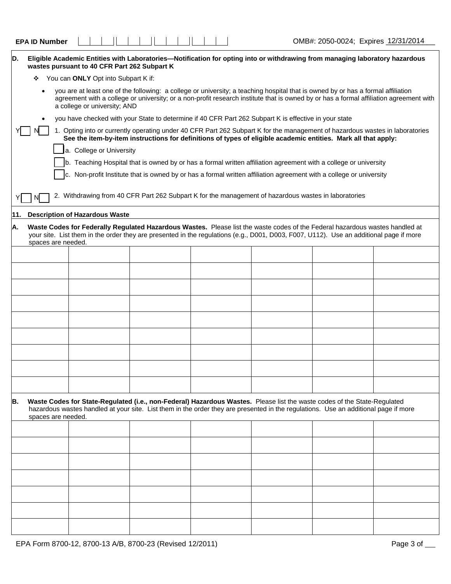| <b>EPAID</b><br>, Number |  |  | 10/21/201<br>2050-0024:<br>OMB#:<br>:xpires<br>21.511 |
|--------------------------|--|--|-------------------------------------------------------|
|--------------------------|--|--|-------------------------------------------------------|

٦

| D.  | Eligible Academic Entities with Laboratories—Notification for opting into or withdrawing from managing laboratory hazardous<br>wastes pursuant to 40 CFR Part 262 Subpart K                                                                                                                                |                                                                                                                                                                                                                                                                        |  |  |  |  |  |  |  |  |  |  |
|-----|------------------------------------------------------------------------------------------------------------------------------------------------------------------------------------------------------------------------------------------------------------------------------------------------------------|------------------------------------------------------------------------------------------------------------------------------------------------------------------------------------------------------------------------------------------------------------------------|--|--|--|--|--|--|--|--|--|--|
|     | You can ONLY Opt into Subpart K if:<br>❖                                                                                                                                                                                                                                                                   |                                                                                                                                                                                                                                                                        |  |  |  |  |  |  |  |  |  |  |
|     | you are at least one of the following: a college or university; a teaching hospital that is owned by or has a formal affiliation<br>agreement with a college or university; or a non-profit research institute that is owned by or has a formal affiliation agreement with<br>a college or university; AND |                                                                                                                                                                                                                                                                        |  |  |  |  |  |  |  |  |  |  |
|     | you have checked with your State to determine if 40 CFR Part 262 Subpart K is effective in your state                                                                                                                                                                                                      |                                                                                                                                                                                                                                                                        |  |  |  |  |  |  |  |  |  |  |
|     | 1. Opting into or currently operating under 40 CFR Part 262 Subpart K for the management of hazardous wastes in laboratories<br>See the item-by-item instructions for definitions of types of eligible academic entities. Mark all that apply:                                                             |                                                                                                                                                                                                                                                                        |  |  |  |  |  |  |  |  |  |  |
|     | a. College or University                                                                                                                                                                                                                                                                                   |                                                                                                                                                                                                                                                                        |  |  |  |  |  |  |  |  |  |  |
|     | b. Teaching Hospital that is owned by or has a formal written affiliation agreement with a college or university                                                                                                                                                                                           |                                                                                                                                                                                                                                                                        |  |  |  |  |  |  |  |  |  |  |
|     | c. Non-profit Institute that is owned by or has a formal written affiliation agreement with a college or university                                                                                                                                                                                        |                                                                                                                                                                                                                                                                        |  |  |  |  |  |  |  |  |  |  |
|     | 2. Withdrawing from 40 CFR Part 262 Subpart K for the management of hazardous wastes in laboratories<br>ΝI                                                                                                                                                                                                 |                                                                                                                                                                                                                                                                        |  |  |  |  |  |  |  |  |  |  |
| 11. |                                                                                                                                                                                                                                                                                                            | <b>Description of Hazardous Waste</b>                                                                                                                                                                                                                                  |  |  |  |  |  |  |  |  |  |  |
| Α.  | spaces are needed.                                                                                                                                                                                                                                                                                         | Waste Codes for Federally Regulated Hazardous Wastes. Please list the waste codes of the Federal hazardous wastes handled at<br>your site. List them in the order they are presented in the regulations (e.g., D001, D003, F007, U112). Use an additional page if more |  |  |  |  |  |  |  |  |  |  |
|     |                                                                                                                                                                                                                                                                                                            |                                                                                                                                                                                                                                                                        |  |  |  |  |  |  |  |  |  |  |
|     |                                                                                                                                                                                                                                                                                                            |                                                                                                                                                                                                                                                                        |  |  |  |  |  |  |  |  |  |  |
|     |                                                                                                                                                                                                                                                                                                            |                                                                                                                                                                                                                                                                        |  |  |  |  |  |  |  |  |  |  |
|     |                                                                                                                                                                                                                                                                                                            |                                                                                                                                                                                                                                                                        |  |  |  |  |  |  |  |  |  |  |
|     |                                                                                                                                                                                                                                                                                                            |                                                                                                                                                                                                                                                                        |  |  |  |  |  |  |  |  |  |  |
|     |                                                                                                                                                                                                                                                                                                            |                                                                                                                                                                                                                                                                        |  |  |  |  |  |  |  |  |  |  |
|     |                                                                                                                                                                                                                                                                                                            |                                                                                                                                                                                                                                                                        |  |  |  |  |  |  |  |  |  |  |
|     |                                                                                                                                                                                                                                                                                                            |                                                                                                                                                                                                                                                                        |  |  |  |  |  |  |  |  |  |  |
|     |                                                                                                                                                                                                                                                                                                            |                                                                                                                                                                                                                                                                        |  |  |  |  |  |  |  |  |  |  |
| В.  | spaces are needed.                                                                                                                                                                                                                                                                                         | Waste Codes for State-Regulated (i.e., non-Federal) Hazardous Wastes. Please list the waste codes of the State-Regulated<br>hazardous wastes handled at your site. List them in the order they are presented in the regulations. Use an additional page if more        |  |  |  |  |  |  |  |  |  |  |
|     |                                                                                                                                                                                                                                                                                                            |                                                                                                                                                                                                                                                                        |  |  |  |  |  |  |  |  |  |  |
|     |                                                                                                                                                                                                                                                                                                            |                                                                                                                                                                                                                                                                        |  |  |  |  |  |  |  |  |  |  |
|     |                                                                                                                                                                                                                                                                                                            |                                                                                                                                                                                                                                                                        |  |  |  |  |  |  |  |  |  |  |
|     |                                                                                                                                                                                                                                                                                                            |                                                                                                                                                                                                                                                                        |  |  |  |  |  |  |  |  |  |  |
|     |                                                                                                                                                                                                                                                                                                            |                                                                                                                                                                                                                                                                        |  |  |  |  |  |  |  |  |  |  |
|     |                                                                                                                                                                                                                                                                                                            |                                                                                                                                                                                                                                                                        |  |  |  |  |  |  |  |  |  |  |
|     |                                                                                                                                                                                                                                                                                                            |                                                                                                                                                                                                                                                                        |  |  |  |  |  |  |  |  |  |  |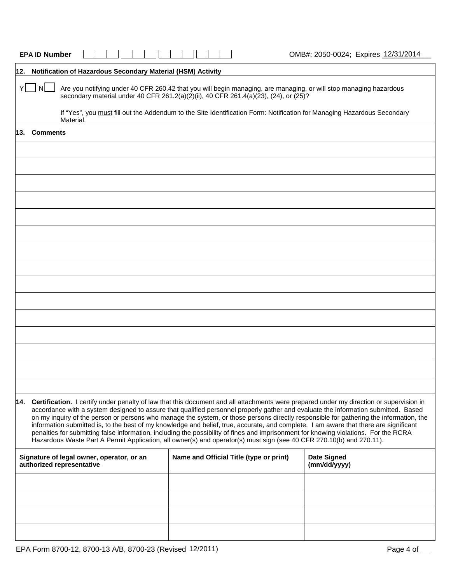|     | <b>EPA ID Number</b>                                                                                                                                                                                                                                                                                                                                                                                                                                                                                                                                                                                                                                                                                                                                                                                                                 |           |  |  |                                         |  |  |  |  |                                    |  |                                                                                      | OMB#: 2050-0024; Expires 12/31/2014                                                                                                                                                                                                          |  |
|-----|--------------------------------------------------------------------------------------------------------------------------------------------------------------------------------------------------------------------------------------------------------------------------------------------------------------------------------------------------------------------------------------------------------------------------------------------------------------------------------------------------------------------------------------------------------------------------------------------------------------------------------------------------------------------------------------------------------------------------------------------------------------------------------------------------------------------------------------|-----------|--|--|-----------------------------------------|--|--|--|--|------------------------------------|--|--------------------------------------------------------------------------------------|----------------------------------------------------------------------------------------------------------------------------------------------------------------------------------------------------------------------------------------------|--|
| 12. | Notification of Hazardous Secondary Material (HSM) Activity                                                                                                                                                                                                                                                                                                                                                                                                                                                                                                                                                                                                                                                                                                                                                                          |           |  |  |                                         |  |  |  |  |                                    |  |                                                                                      |                                                                                                                                                                                                                                              |  |
|     | Y INL                                                                                                                                                                                                                                                                                                                                                                                                                                                                                                                                                                                                                                                                                                                                                                                                                                |           |  |  |                                         |  |  |  |  |                                    |  | secondary material under 40 CFR 261.2(a)(2)(ii), 40 CFR 261.4(a)(23), (24), or (25)? | Are you notifying under 40 CFR 260.42 that you will begin managing, are managing, or will stop managing hazardous<br>If "Yes", you must fill out the Addendum to the Site Identification Form: Notification for Managing Hazardous Secondary |  |
| 13. | <b>Comments</b>                                                                                                                                                                                                                                                                                                                                                                                                                                                                                                                                                                                                                                                                                                                                                                                                                      | Material. |  |  |                                         |  |  |  |  |                                    |  |                                                                                      |                                                                                                                                                                                                                                              |  |
|     |                                                                                                                                                                                                                                                                                                                                                                                                                                                                                                                                                                                                                                                                                                                                                                                                                                      |           |  |  |                                         |  |  |  |  |                                    |  |                                                                                      |                                                                                                                                                                                                                                              |  |
|     |                                                                                                                                                                                                                                                                                                                                                                                                                                                                                                                                                                                                                                                                                                                                                                                                                                      |           |  |  |                                         |  |  |  |  |                                    |  |                                                                                      |                                                                                                                                                                                                                                              |  |
|     |                                                                                                                                                                                                                                                                                                                                                                                                                                                                                                                                                                                                                                                                                                                                                                                                                                      |           |  |  |                                         |  |  |  |  |                                    |  |                                                                                      |                                                                                                                                                                                                                                              |  |
|     |                                                                                                                                                                                                                                                                                                                                                                                                                                                                                                                                                                                                                                                                                                                                                                                                                                      |           |  |  |                                         |  |  |  |  |                                    |  |                                                                                      |                                                                                                                                                                                                                                              |  |
|     |                                                                                                                                                                                                                                                                                                                                                                                                                                                                                                                                                                                                                                                                                                                                                                                                                                      |           |  |  |                                         |  |  |  |  |                                    |  |                                                                                      |                                                                                                                                                                                                                                              |  |
|     |                                                                                                                                                                                                                                                                                                                                                                                                                                                                                                                                                                                                                                                                                                                                                                                                                                      |           |  |  |                                         |  |  |  |  |                                    |  |                                                                                      |                                                                                                                                                                                                                                              |  |
|     |                                                                                                                                                                                                                                                                                                                                                                                                                                                                                                                                                                                                                                                                                                                                                                                                                                      |           |  |  |                                         |  |  |  |  |                                    |  |                                                                                      |                                                                                                                                                                                                                                              |  |
|     |                                                                                                                                                                                                                                                                                                                                                                                                                                                                                                                                                                                                                                                                                                                                                                                                                                      |           |  |  |                                         |  |  |  |  |                                    |  |                                                                                      |                                                                                                                                                                                                                                              |  |
|     |                                                                                                                                                                                                                                                                                                                                                                                                                                                                                                                                                                                                                                                                                                                                                                                                                                      |           |  |  |                                         |  |  |  |  |                                    |  |                                                                                      |                                                                                                                                                                                                                                              |  |
|     |                                                                                                                                                                                                                                                                                                                                                                                                                                                                                                                                                                                                                                                                                                                                                                                                                                      |           |  |  |                                         |  |  |  |  |                                    |  |                                                                                      |                                                                                                                                                                                                                                              |  |
|     |                                                                                                                                                                                                                                                                                                                                                                                                                                                                                                                                                                                                                                                                                                                                                                                                                                      |           |  |  |                                         |  |  |  |  |                                    |  |                                                                                      |                                                                                                                                                                                                                                              |  |
|     |                                                                                                                                                                                                                                                                                                                                                                                                                                                                                                                                                                                                                                                                                                                                                                                                                                      |           |  |  |                                         |  |  |  |  |                                    |  |                                                                                      |                                                                                                                                                                                                                                              |  |
|     |                                                                                                                                                                                                                                                                                                                                                                                                                                                                                                                                                                                                                                                                                                                                                                                                                                      |           |  |  |                                         |  |  |  |  |                                    |  |                                                                                      |                                                                                                                                                                                                                                              |  |
|     |                                                                                                                                                                                                                                                                                                                                                                                                                                                                                                                                                                                                                                                                                                                                                                                                                                      |           |  |  |                                         |  |  |  |  |                                    |  |                                                                                      |                                                                                                                                                                                                                                              |  |
|     |                                                                                                                                                                                                                                                                                                                                                                                                                                                                                                                                                                                                                                                                                                                                                                                                                                      |           |  |  |                                         |  |  |  |  |                                    |  |                                                                                      |                                                                                                                                                                                                                                              |  |
|     | 14. Certification. I certify under penalty of law that this document and all attachments were prepared under my direction or supervision in<br>accordance with a system designed to assure that qualified personnel properly gather and evaluate the information submitted. Based<br>on my inquiry of the person or persons who manage the system, or those persons directly responsible for gathering the information, the<br>information submitted is, to the best of my knowledge and belief, true, accurate, and complete. I am aware that there are significant<br>penalties for submitting false information, including the possibility of fines and imprisonment for knowing violations. For the RCRA<br>Hazardous Waste Part A Permit Application, all owner(s) and operator(s) must sign (see 40 CFR 270.10(b) and 270.11). |           |  |  |                                         |  |  |  |  |                                    |  |                                                                                      |                                                                                                                                                                                                                                              |  |
|     | Signature of legal owner, operator, or an<br>authorized representative                                                                                                                                                                                                                                                                                                                                                                                                                                                                                                                                                                                                                                                                                                                                                               |           |  |  | Name and Official Title (type or print) |  |  |  |  | <b>Date Signed</b><br>(mm/dd/yyyy) |  |                                                                                      |                                                                                                                                                                                                                                              |  |
|     |                                                                                                                                                                                                                                                                                                                                                                                                                                                                                                                                                                                                                                                                                                                                                                                                                                      |           |  |  |                                         |  |  |  |  |                                    |  |                                                                                      |                                                                                                                                                                                                                                              |  |
|     |                                                                                                                                                                                                                                                                                                                                                                                                                                                                                                                                                                                                                                                                                                                                                                                                                                      |           |  |  |                                         |  |  |  |  |                                    |  |                                                                                      |                                                                                                                                                                                                                                              |  |
|     |                                                                                                                                                                                                                                                                                                                                                                                                                                                                                                                                                                                                                                                                                                                                                                                                                                      |           |  |  |                                         |  |  |  |  |                                    |  |                                                                                      |                                                                                                                                                                                                                                              |  |
|     |                                                                                                                                                                                                                                                                                                                                                                                                                                                                                                                                                                                                                                                                                                                                                                                                                                      |           |  |  |                                         |  |  |  |  |                                    |  |                                                                                      |                                                                                                                                                                                                                                              |  |